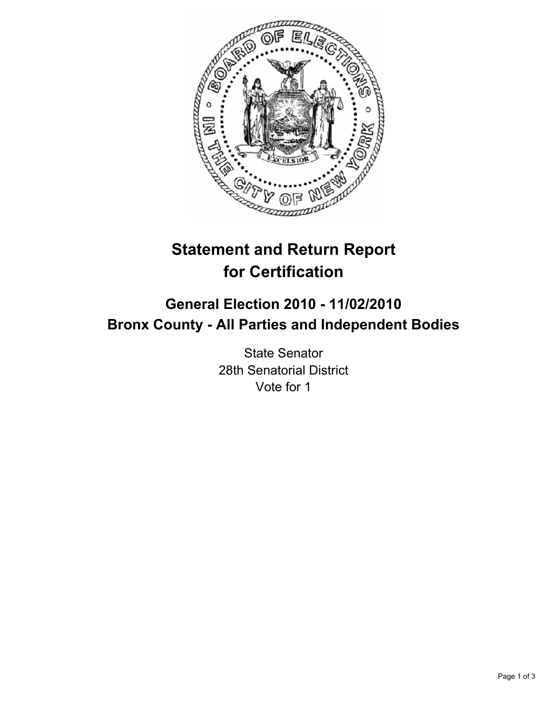

# **Statement and Return Report for Certification**

# **General Election 2010 - 11/02/2010 Bronx County - All Parties and Independent Bodies**

State Senator 28th Senatorial District Vote for 1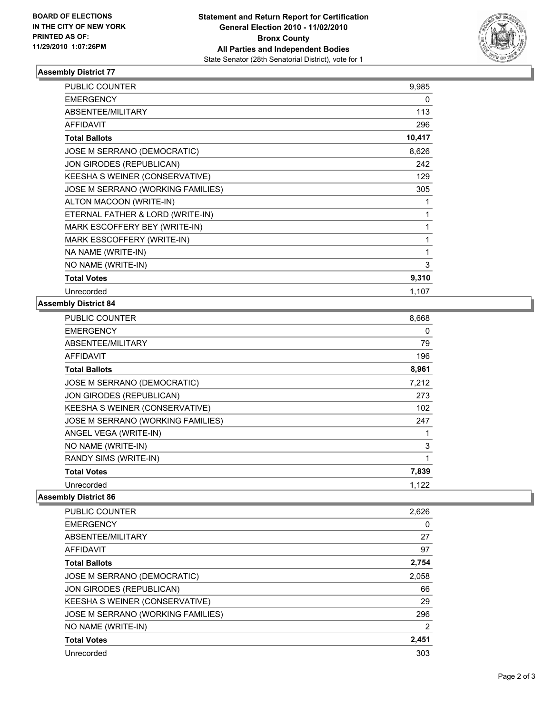

## **Assembly District 77**

| <b>PUBLIC COUNTER</b>             | 9,985  |
|-----------------------------------|--------|
| <b>EMERGENCY</b>                  | 0      |
| <b>ABSENTEE/MILITARY</b>          | 113    |
| <b>AFFIDAVIT</b>                  | 296    |
| <b>Total Ballots</b>              | 10,417 |
| JOSE M SERRANO (DEMOCRATIC)       | 8,626  |
| JON GIRODES (REPUBLICAN)          | 242    |
| KEESHA S WEINER (CONSERVATIVE)    | 129    |
| JOSE M SERRANO (WORKING FAMILIES) | 305    |
| ALTON MACOON (WRITE-IN)           | 1      |
| ETERNAL FATHER & LORD (WRITE-IN)  | 1      |
| MARK ESCOFFERY BEY (WRITE-IN)     | 1      |
| MARK ESSCOFFERY (WRITE-IN)        | 1      |
| NA NAME (WRITE-IN)                | 1      |
| NO NAME (WRITE-IN)                | 3      |
| <b>Total Votes</b>                | 9,310  |
| Unrecorded                        | 1,107  |

#### **Assembly District 84**

| <b>PUBLIC COUNTER</b>             | 8,668 |
|-----------------------------------|-------|
| <b>EMERGENCY</b>                  | 0     |
| ABSENTEE/MILITARY                 | 79    |
| <b>AFFIDAVIT</b>                  | 196   |
| <b>Total Ballots</b>              | 8,961 |
| JOSE M SERRANO (DEMOCRATIC)       | 7,212 |
| JON GIRODES (REPUBLICAN)          | 273   |
| KEESHA S WEINER (CONSERVATIVE)    | 102   |
| JOSE M SERRANO (WORKING FAMILIES) | 247   |
| ANGEL VEGA (WRITE-IN)             |       |
| NO NAME (WRITE-IN)                | 3     |
| RANDY SIMS (WRITE-IN)             | 1     |
| <b>Total Votes</b>                | 7,839 |
| Unrecorded                        | 1,122 |

### **Assembly District 86**

| <b>PUBLIC COUNTER</b>             | 2,626 |
|-----------------------------------|-------|
| <b>EMERGENCY</b>                  | 0     |
| ABSENTEE/MILITARY                 | 27    |
| AFFIDAVIT                         | 97    |
| <b>Total Ballots</b>              | 2,754 |
| JOSE M SERRANO (DEMOCRATIC)       | 2,058 |
| <b>JON GIRODES (REPUBLICAN)</b>   | 66    |
| KEESHA S WEINER (CONSERVATIVE)    | 29    |
| JOSE M SERRANO (WORKING FAMILIES) | 296   |
| NO NAME (WRITE-IN)                | 2     |
| <b>Total Votes</b>                | 2,451 |
| Unrecorded                        | 303   |